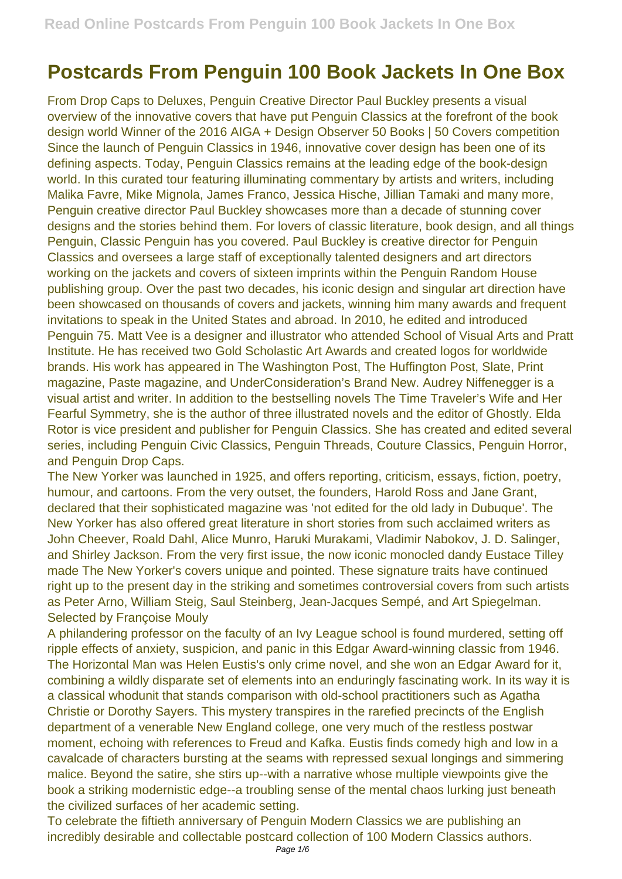## **Postcards From Penguin 100 Book Jackets In One Box**

From Drop Caps to Deluxes, Penguin Creative Director Paul Buckley presents a visual overview of the innovative covers that have put Penguin Classics at the forefront of the book design world Winner of the 2016 AIGA + Design Observer 50 Books | 50 Covers competition Since the launch of Penguin Classics in 1946, innovative cover design has been one of its defining aspects. Today, Penguin Classics remains at the leading edge of the book-design world. In this curated tour featuring illuminating commentary by artists and writers, including Malika Favre, Mike Mignola, James Franco, Jessica Hische, Jillian Tamaki and many more, Penguin creative director Paul Buckley showcases more than a decade of stunning cover designs and the stories behind them. For lovers of classic literature, book design, and all things Penguin, Classic Penguin has you covered. Paul Buckley is creative director for Penguin Classics and oversees a large staff of exceptionally talented designers and art directors working on the jackets and covers of sixteen imprints within the Penguin Random House publishing group. Over the past two decades, his iconic design and singular art direction have been showcased on thousands of covers and jackets, winning him many awards and frequent invitations to speak in the United States and abroad. In 2010, he edited and introduced Penguin 75. Matt Vee is a designer and illustrator who attended School of Visual Arts and Pratt Institute. He has received two Gold Scholastic Art Awards and created logos for worldwide brands. His work has appeared in The Washington Post, The Huffington Post, Slate, Print magazine, Paste magazine, and UnderConsideration's Brand New. Audrey Niffenegger is a visual artist and writer. In addition to the bestselling novels The Time Traveler's Wife and Her Fearful Symmetry, she is the author of three illustrated novels and the editor of Ghostly. Elda Rotor is vice president and publisher for Penguin Classics. She has created and edited several series, including Penguin Civic Classics, Penguin Threads, Couture Classics, Penguin Horror, and Penguin Drop Caps.

The New Yorker was launched in 1925, and offers reporting, criticism, essays, fiction, poetry, humour, and cartoons. From the very outset, the founders, Harold Ross and Jane Grant, declared that their sophisticated magazine was 'not edited for the old lady in Dubuque'. The New Yorker has also offered great literature in short stories from such acclaimed writers as John Cheever, Roald Dahl, Alice Munro, Haruki Murakami, Vladimir Nabokov, J. D. Salinger, and Shirley Jackson. From the very first issue, the now iconic monocled dandy Eustace Tilley made The New Yorker's covers unique and pointed. These signature traits have continued right up to the present day in the striking and sometimes controversial covers from such artists as Peter Arno, William Steig, Saul Steinberg, Jean-Jacques Sempé, and Art Spiegelman. Selected by Françoise Mouly

A philandering professor on the faculty of an Ivy League school is found murdered, setting off ripple effects of anxiety, suspicion, and panic in this Edgar Award-winning classic from 1946. The Horizontal Man was Helen Eustis's only crime novel, and she won an Edgar Award for it, combining a wildly disparate set of elements into an enduringly fascinating work. In its way it is a classical whodunit that stands comparison with old-school practitioners such as Agatha Christie or Dorothy Sayers. This mystery transpires in the rarefied precincts of the English department of a venerable New England college, one very much of the restless postwar moment, echoing with references to Freud and Kafka. Eustis finds comedy high and low in a cavalcade of characters bursting at the seams with repressed sexual longings and simmering malice. Beyond the satire, she stirs up--with a narrative whose multiple viewpoints give the book a striking modernistic edge--a troubling sense of the mental chaos lurking just beneath the civilized surfaces of her academic setting.

To celebrate the fiftieth anniversary of Penguin Modern Classics we are publishing an incredibly desirable and collectable postcard collection of 100 Modern Classics authors.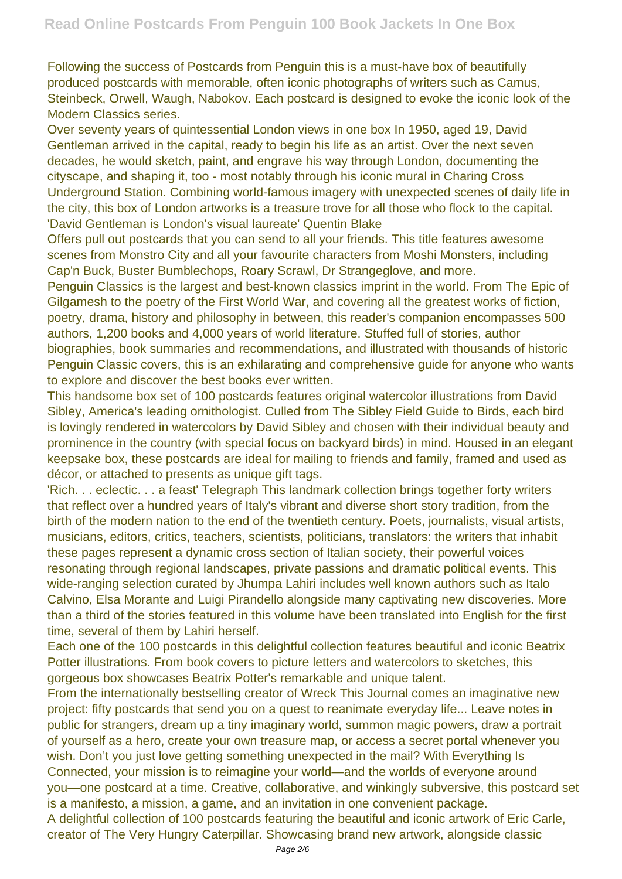Following the success of Postcards from Penguin this is a must-have box of beautifully produced postcards with memorable, often iconic photographs of writers such as Camus, Steinbeck, Orwell, Waugh, Nabokov. Each postcard is designed to evoke the iconic look of the Modern Classics series.

Over seventy years of quintessential London views in one box In 1950, aged 19, David Gentleman arrived in the capital, ready to begin his life as an artist. Over the next seven decades, he would sketch, paint, and engrave his way through London, documenting the cityscape, and shaping it, too - most notably through his iconic mural in Charing Cross Underground Station. Combining world-famous imagery with unexpected scenes of daily life in the city, this box of London artworks is a treasure trove for all those who flock to the capital. 'David Gentleman is London's visual laureate' Quentin Blake

Offers pull out postcards that you can send to all your friends. This title features awesome scenes from Monstro City and all your favourite characters from Moshi Monsters, including Cap'n Buck, Buster Bumblechops, Roary Scrawl, Dr Strangeglove, and more.

Penguin Classics is the largest and best-known classics imprint in the world. From The Epic of Gilgamesh to the poetry of the First World War, and covering all the greatest works of fiction, poetry, drama, history and philosophy in between, this reader's companion encompasses 500 authors, 1,200 books and 4,000 years of world literature. Stuffed full of stories, author biographies, book summaries and recommendations, and illustrated with thousands of historic Penguin Classic covers, this is an exhilarating and comprehensive guide for anyone who wants to explore and discover the best books ever written.

This handsome box set of 100 postcards features original watercolor illustrations from David Sibley, America's leading ornithologist. Culled from The Sibley Field Guide to Birds, each bird is lovingly rendered in watercolors by David Sibley and chosen with their individual beauty and prominence in the country (with special focus on backyard birds) in mind. Housed in an elegant keepsake box, these postcards are ideal for mailing to friends and family, framed and used as décor, or attached to presents as unique gift tags.

'Rich. . . eclectic. . . a feast' Telegraph This landmark collection brings together forty writers that reflect over a hundred years of Italy's vibrant and diverse short story tradition, from the birth of the modern nation to the end of the twentieth century. Poets, journalists, visual artists, musicians, editors, critics, teachers, scientists, politicians, translators: the writers that inhabit these pages represent a dynamic cross section of Italian society, their powerful voices resonating through regional landscapes, private passions and dramatic political events. This wide-ranging selection curated by Jhumpa Lahiri includes well known authors such as Italo Calvino, Elsa Morante and Luigi Pirandello alongside many captivating new discoveries. More than a third of the stories featured in this volume have been translated into English for the first time, several of them by Lahiri herself.

Each one of the 100 postcards in this delightful collection features beautiful and iconic Beatrix Potter illustrations. From book covers to picture letters and watercolors to sketches, this gorgeous box showcases Beatrix Potter's remarkable and unique talent.

From the internationally bestselling creator of Wreck This Journal comes an imaginative new project: fifty postcards that send you on a quest to reanimate everyday life... Leave notes in public for strangers, dream up a tiny imaginary world, summon magic powers, draw a portrait of yourself as a hero, create your own treasure map, or access a secret portal whenever you wish. Don't you just love getting something unexpected in the mail? With Everything Is Connected, your mission is to reimagine your world—and the worlds of everyone around you—one postcard at a time. Creative, collaborative, and winkingly subversive, this postcard set is a manifesto, a mission, a game, and an invitation in one convenient package.

A delightful collection of 100 postcards featuring the beautiful and iconic artwork of Eric Carle, creator of The Very Hungry Caterpillar. Showcasing brand new artwork, alongside classic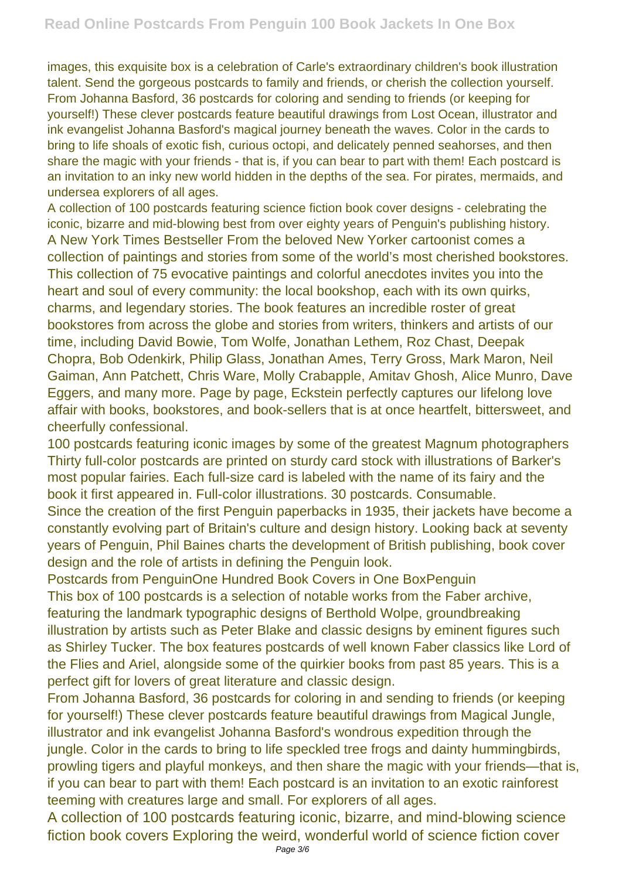images, this exquisite box is a celebration of Carle's extraordinary children's book illustration talent. Send the gorgeous postcards to family and friends, or cherish the collection yourself. From Johanna Basford, 36 postcards for coloring and sending to friends (or keeping for yourself!) These clever postcards feature beautiful drawings from Lost Ocean, illustrator and ink evangelist Johanna Basford's magical journey beneath the waves. Color in the cards to bring to life shoals of exotic fish, curious octopi, and delicately penned seahorses, and then share the magic with your friends - that is, if you can bear to part with them! Each postcard is an invitation to an inky new world hidden in the depths of the sea. For pirates, mermaids, and undersea explorers of all ages.

A collection of 100 postcards featuring science fiction book cover designs - celebrating the iconic, bizarre and mid-blowing best from over eighty years of Penguin's publishing history. A New York Times Bestseller From the beloved New Yorker cartoonist comes a collection of paintings and stories from some of the world's most cherished bookstores. This collection of 75 evocative paintings and colorful anecdotes invites you into the heart and soul of every community: the local bookshop, each with its own quirks, charms, and legendary stories. The book features an incredible roster of great bookstores from across the globe and stories from writers, thinkers and artists of our time, including David Bowie, Tom Wolfe, Jonathan Lethem, Roz Chast, Deepak Chopra, Bob Odenkirk, Philip Glass, Jonathan Ames, Terry Gross, Mark Maron, Neil Gaiman, Ann Patchett, Chris Ware, Molly Crabapple, Amitav Ghosh, Alice Munro, Dave Eggers, and many more. Page by page, Eckstein perfectly captures our lifelong love affair with books, bookstores, and book-sellers that is at once heartfelt, bittersweet, and cheerfully confessional.

100 postcards featuring iconic images by some of the greatest Magnum photographers Thirty full-color postcards are printed on sturdy card stock with illustrations of Barker's most popular fairies. Each full-size card is labeled with the name of its fairy and the book it first appeared in. Full-color illustrations. 30 postcards. Consumable.

Since the creation of the first Penguin paperbacks in 1935, their jackets have become a constantly evolving part of Britain's culture and design history. Looking back at seventy years of Penguin, Phil Baines charts the development of British publishing, book cover design and the role of artists in defining the Penguin look.

Postcards from PenguinOne Hundred Book Covers in One BoxPenguin

This box of 100 postcards is a selection of notable works from the Faber archive, featuring the landmark typographic designs of Berthold Wolpe, groundbreaking illustration by artists such as Peter Blake and classic designs by eminent figures such as Shirley Tucker. The box features postcards of well known Faber classics like Lord of the Flies and Ariel, alongside some of the quirkier books from past 85 years. This is a perfect gift for lovers of great literature and classic design.

From Johanna Basford, 36 postcards for coloring in and sending to friends (or keeping for yourself!) These clever postcards feature beautiful drawings from Magical Jungle, illustrator and ink evangelist Johanna Basford's wondrous expedition through the jungle. Color in the cards to bring to life speckled tree frogs and dainty hummingbirds, prowling tigers and playful monkeys, and then share the magic with your friends—that is, if you can bear to part with them! Each postcard is an invitation to an exotic rainforest teeming with creatures large and small. For explorers of all ages.

A collection of 100 postcards featuring iconic, bizarre, and mind-blowing science fiction book covers Exploring the weird, wonderful world of science fiction cover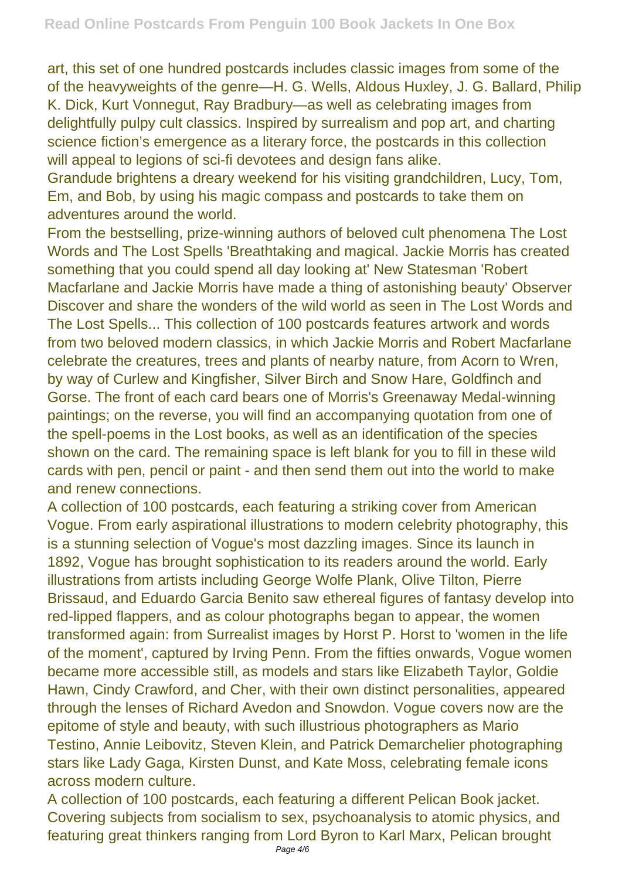art, this set of one hundred postcards includes classic images from some of the of the heavyweights of the genre—H. G. Wells, Aldous Huxley, J. G. Ballard, Philip K. Dick, Kurt Vonnegut, Ray Bradbury—as well as celebrating images from delightfully pulpy cult classics. Inspired by surrealism and pop art, and charting science fiction's emergence as a literary force, the postcards in this collection will appeal to legions of sci-fi devotees and design fans alike.

Grandude brightens a dreary weekend for his visiting grandchildren, Lucy, Tom, Em, and Bob, by using his magic compass and postcards to take them on adventures around the world.

From the bestselling, prize-winning authors of beloved cult phenomena The Lost Words and The Lost Spells 'Breathtaking and magical. Jackie Morris has created something that you could spend all day looking at' New Statesman 'Robert Macfarlane and Jackie Morris have made a thing of astonishing beauty' Observer Discover and share the wonders of the wild world as seen in The Lost Words and The Lost Spells... This collection of 100 postcards features artwork and words from two beloved modern classics, in which Jackie Morris and Robert Macfarlane celebrate the creatures, trees and plants of nearby nature, from Acorn to Wren, by way of Curlew and Kingfisher, Silver Birch and Snow Hare, Goldfinch and Gorse. The front of each card bears one of Morris's Greenaway Medal-winning paintings; on the reverse, you will find an accompanying quotation from one of the spell-poems in the Lost books, as well as an identification of the species shown on the card. The remaining space is left blank for you to fill in these wild cards with pen, pencil or paint - and then send them out into the world to make and renew connections.

A collection of 100 postcards, each featuring a striking cover from American Vogue. From early aspirational illustrations to modern celebrity photography, this is a stunning selection of Vogue's most dazzling images. Since its launch in 1892, Vogue has brought sophistication to its readers around the world. Early illustrations from artists including George Wolfe Plank, Olive Tilton, Pierre Brissaud, and Eduardo Garcia Benito saw ethereal figures of fantasy develop into red-lipped flappers, and as colour photographs began to appear, the women transformed again: from Surrealist images by Horst P. Horst to 'women in the life of the moment', captured by Irving Penn. From the fifties onwards, Vogue women became more accessible still, as models and stars like Elizabeth Taylor, Goldie Hawn, Cindy Crawford, and Cher, with their own distinct personalities, appeared through the lenses of Richard Avedon and Snowdon. Vogue covers now are the epitome of style and beauty, with such illustrious photographers as Mario Testino, Annie Leibovitz, Steven Klein, and Patrick Demarchelier photographing stars like Lady Gaga, Kirsten Dunst, and Kate Moss, celebrating female icons across modern culture.

A collection of 100 postcards, each featuring a different Pelican Book jacket. Covering subjects from socialism to sex, psychoanalysis to atomic physics, and featuring great thinkers ranging from Lord Byron to Karl Marx, Pelican brought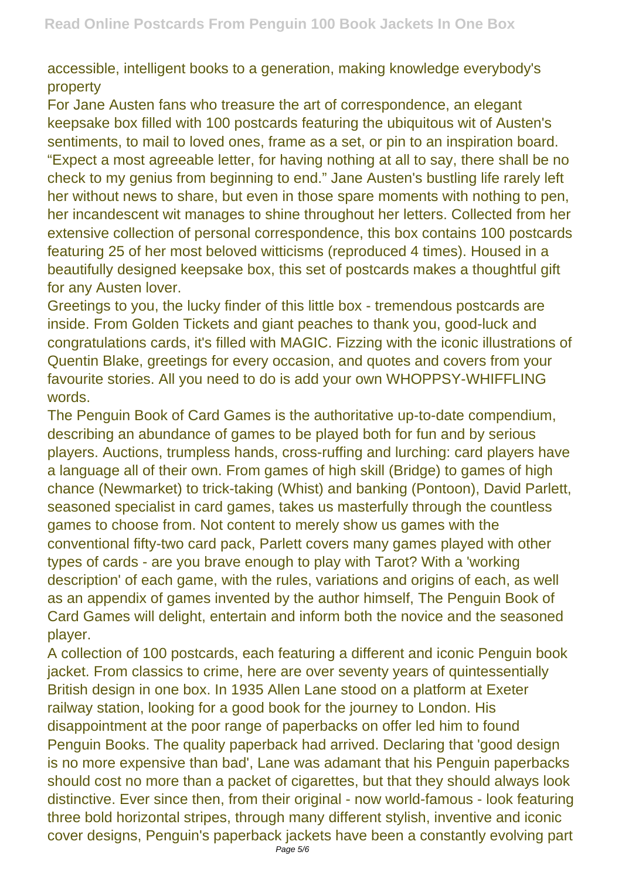## accessible, intelligent books to a generation, making knowledge everybody's property

For Jane Austen fans who treasure the art of correspondence, an elegant keepsake box filled with 100 postcards featuring the ubiquitous wit of Austen's sentiments, to mail to loved ones, frame as a set, or pin to an inspiration board. "Expect a most agreeable letter, for having nothing at all to say, there shall be no check to my genius from beginning to end." Jane Austen's bustling life rarely left her without news to share, but even in those spare moments with nothing to pen, her incandescent wit manages to shine throughout her letters. Collected from her extensive collection of personal correspondence, this box contains 100 postcards featuring 25 of her most beloved witticisms (reproduced 4 times). Housed in a beautifully designed keepsake box, this set of postcards makes a thoughtful gift for any Austen lover.

Greetings to you, the lucky finder of this little box - tremendous postcards are inside. From Golden Tickets and giant peaches to thank you, good-luck and congratulations cards, it's filled with MAGIC. Fizzing with the iconic illustrations of Quentin Blake, greetings for every occasion, and quotes and covers from your favourite stories. All you need to do is add your own WHOPPSY-WHIFFLING words.

The Penguin Book of Card Games is the authoritative up-to-date compendium, describing an abundance of games to be played both for fun and by serious players. Auctions, trumpless hands, cross-ruffing and lurching: card players have a language all of their own. From games of high skill (Bridge) to games of high chance (Newmarket) to trick-taking (Whist) and banking (Pontoon), David Parlett, seasoned specialist in card games, takes us masterfully through the countless games to choose from. Not content to merely show us games with the conventional fifty-two card pack, Parlett covers many games played with other types of cards - are you brave enough to play with Tarot? With a 'working description' of each game, with the rules, variations and origins of each, as well as an appendix of games invented by the author himself, The Penguin Book of Card Games will delight, entertain and inform both the novice and the seasoned player.

A collection of 100 postcards, each featuring a different and iconic Penguin book jacket. From classics to crime, here are over seventy years of quintessentially British design in one box. In 1935 Allen Lane stood on a platform at Exeter railway station, looking for a good book for the journey to London. His disappointment at the poor range of paperbacks on offer led him to found Penguin Books. The quality paperback had arrived. Declaring that 'good design is no more expensive than bad', Lane was adamant that his Penguin paperbacks should cost no more than a packet of cigarettes, but that they should always look distinctive. Ever since then, from their original - now world-famous - look featuring three bold horizontal stripes, through many different stylish, inventive and iconic cover designs, Penguin's paperback jackets have been a constantly evolving part